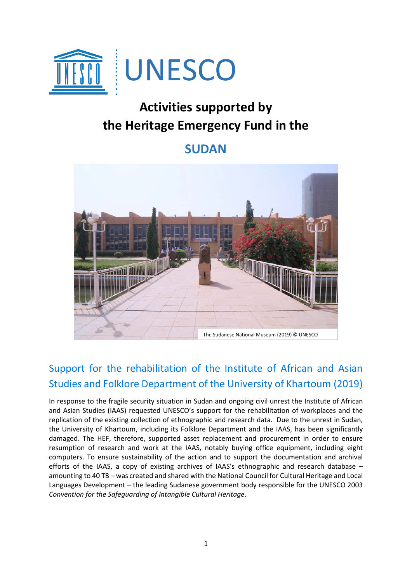

## **Activities supported by the Heritage Emergency Fund in the**

## **SUDAN**



## Support for the rehabilitation of the Institute of African and Asian Studies and Folklore Department of the University of Khartoum (2019)

In response to the fragile security situation in Sudan and ongoing civil unrest the Institute of African and Asian Studies (IAAS) requested UNESCO's support for the rehabilitation of workplaces and the replication of the existing collection of ethnographic and research data. Due to the unrest in Sudan, the University of Khartoum, including its Folklore Department and the IAAS, has been significantly damaged. The HEF, therefore, supported asset replacement and procurement in order to ensure resumption of research and work at the IAAS, notably buying office equipment, including eight computers. To ensure sustainability of the action and to support the documentation and archival efforts of the IAAS, a copy of existing archives of IAAS's ethnographic and research database – amounting to 40 TB – was created and shared with the National Council for Cultural Heritage and Local Languages Development – the leading Sudanese government body responsible for the UNESCO 2003 *Convention for the Safeguarding of Intangible Cultural Heritage*.